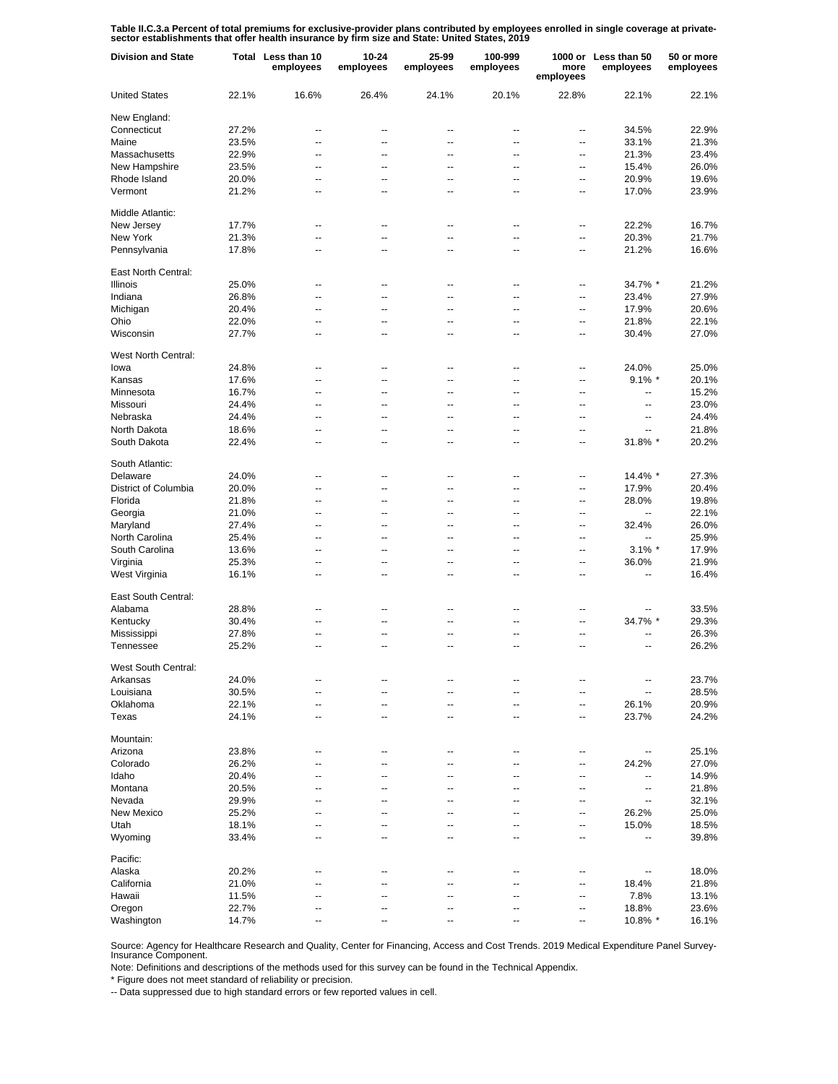Table II.C.3.a Percent of total premiums for exclusive-provider plans contributed by employees enrolled in single coverage at private-<br>sector establishments that offer health insurance by firm size and State: United States

| <b>Division and State</b> |       | Total Less than 10<br>employees | 10-24<br>employees | 25-99<br>employees | 100-999<br>employees     | more<br>employees        | 1000 or Less than 50<br>employees | 50 or more<br>employees |
|---------------------------|-------|---------------------------------|--------------------|--------------------|--------------------------|--------------------------|-----------------------------------|-------------------------|
| <b>United States</b>      | 22.1% | 16.6%                           | 26.4%              | 24.1%              | 20.1%                    | 22.8%                    | 22.1%                             | 22.1%                   |
| New England:              |       |                                 |                    |                    |                          |                          |                                   |                         |
| Connecticut               | 27.2% | --                              | --                 | --                 | $\overline{\phantom{a}}$ | --                       | 34.5%                             | 22.9%                   |
| Maine                     | 23.5% | --                              | --                 | $\overline{a}$     | $\overline{\phantom{a}}$ | $\overline{\phantom{a}}$ | 33.1%                             | 21.3%                   |
| Massachusetts             | 22.9% | --                              | --                 | $\overline{a}$     | $\overline{\phantom{a}}$ | $\overline{\phantom{a}}$ | 21.3%                             | 23.4%                   |
| New Hampshire             | 23.5% | $\overline{\phantom{a}}$        | --                 | --                 | $\overline{\phantom{a}}$ | $\overline{\phantom{a}}$ | 15.4%                             | 26.0%                   |
| Rhode Island              | 20.0% | --                              | $\overline{a}$     | $\overline{a}$     | $\overline{\phantom{a}}$ | $\overline{\phantom{a}}$ | 20.9%                             | 19.6%                   |
| Vermont                   | 21.2% | --                              | --                 | --                 | $\overline{a}$           | --                       | 17.0%                             | 23.9%                   |
| Middle Atlantic:          |       |                                 |                    |                    |                          |                          |                                   |                         |
| New Jersey                | 17.7% | $\overline{a}$                  | $\overline{a}$     | --                 | $\overline{a}$           | $\overline{\phantom{a}}$ | 22.2%                             | 16.7%                   |
| New York                  | 21.3% | $\overline{\phantom{a}}$        | $\overline{a}$     | $\overline{a}$     | $\overline{\phantom{a}}$ | $\overline{\phantom{a}}$ | 20.3%                             | 21.7%                   |
| Pennsylvania              | 17.8% | $\overline{a}$                  | --                 | $\overline{a}$     | $\overline{a}$           | $\overline{\phantom{a}}$ | 21.2%                             | 16.6%                   |
| East North Central:       |       |                                 |                    |                    |                          |                          |                                   |                         |
| <b>Illinois</b>           | 25.0% | --                              | --                 | --                 | $\overline{\phantom{a}}$ | --                       | 34.7% *                           | 21.2%                   |
| Indiana                   | 26.8% | --                              | --                 | --                 | $\overline{\phantom{a}}$ | --                       | 23.4%                             | 27.9%                   |
| Michigan                  | 20.4% | --                              | --                 | --                 | $\overline{\phantom{a}}$ | --                       | 17.9%                             | 20.6%                   |
| Ohio                      | 22.0% | --                              | --                 | --                 | $\overline{\phantom{a}}$ | $\overline{\phantom{a}}$ | 21.8%                             | 22.1%                   |
| Wisconsin                 | 27.7% | --                              | --                 | $\overline{a}$     | $\overline{\phantom{a}}$ | --                       | 30.4%                             | 27.0%                   |
| West North Central:       |       |                                 |                    |                    |                          |                          |                                   |                         |
| lowa                      | 24.8% | --                              | --                 | --                 | $\overline{\phantom{a}}$ | --                       | 24.0%                             | 25.0%                   |
| Kansas                    | 17.6% | --                              | --                 | $\overline{a}$     | $\overline{\phantom{a}}$ | $\overline{\phantom{a}}$ | $9.1\%$ *                         | 20.1%                   |
| Minnesota                 | 16.7% | --                              | $\overline{a}$     | $\overline{a}$     | $\overline{\phantom{a}}$ | $\overline{\phantom{a}}$ | $-$                               | 15.2%                   |
| Missouri                  | 24.4% | --                              | --                 | --                 | $\overline{\phantom{a}}$ | $\overline{\phantom{a}}$ | $\overline{\phantom{a}}$          | 23.0%                   |
| Nebraska                  | 24.4% | --                              | $\overline{a}$     | $\overline{a}$     | $\overline{\phantom{a}}$ | $\overline{\phantom{a}}$ | $\overline{a}$                    | 24.4%                   |
| North Dakota              | 18.6% | --                              | --                 | --                 | $\overline{\phantom{a}}$ | $\overline{\phantom{a}}$ | $\overline{\phantom{a}}$          | 21.8%                   |
| South Dakota              | 22.4% | --                              | --                 | $\overline{a}$     | $\overline{a}$           | $\overline{\phantom{a}}$ | 31.8% *                           | 20.2%                   |
| South Atlantic:           |       |                                 |                    |                    |                          |                          |                                   |                         |
| Delaware                  | 24.0% | $\overline{a}$                  | --                 | --                 | --                       | $\overline{a}$           | 14.4% *                           | 27.3%                   |
| District of Columbia      | 20.0% | $\overline{\phantom{a}}$        | --                 | $\overline{a}$     | $\overline{a}$           | $\overline{a}$           | 17.9%                             | 20.4%                   |
| Florida                   | 21.8% | $\overline{a}$                  | --                 | $\overline{a}$     | $\overline{a}$           | $\overline{\phantom{a}}$ | 28.0%                             | 19.8%                   |
| Georgia                   | 21.0% | $\overline{\phantom{a}}$        | --                 | $\overline{a}$     | $\overline{a}$           | $\overline{\phantom{a}}$ | ÷.                                | 22.1%                   |
| Maryland                  | 27.4% | $\overline{a}$                  | --                 | $\overline{a}$     | $\overline{a}$           | $\overline{\phantom{a}}$ | 32.4%                             | 26.0%                   |
| North Carolina            | 25.4% | $\overline{a}$                  | --                 | $\overline{a}$     | $\overline{a}$           | $\overline{a}$           | ш,                                | 25.9%                   |
| South Carolina            | 13.6% | $\overline{a}$                  | --                 | $\overline{a}$     | $\overline{a}$           | $\overline{\phantom{a}}$ | $3.1\%$ *                         | 17.9%                   |
| Virginia                  | 25.3% | $\overline{\phantom{a}}$        | --                 | $\overline{a}$     | $\overline{a}$           | $\overline{\phantom{a}}$ | 36.0%                             | 21.9%                   |
| West Virginia             | 16.1% | $\overline{a}$                  | --                 | $\overline{a}$     | $\overline{a}$           | $\overline{\phantom{a}}$ | $\overline{\phantom{a}}$          | 16.4%                   |
| East South Central:       |       |                                 |                    |                    |                          |                          |                                   |                         |
| Alabama                   | 28.8% | --                              | --                 | --                 | $\overline{\phantom{a}}$ | --                       |                                   | 33.5%                   |
| Kentucky                  | 30.4% | --                              | --                 | --                 | --                       | --                       | 34.7% *                           | 29.3%                   |
| Mississippi               | 27.8% | --                              | --                 | --                 | $\overline{\phantom{a}}$ | --                       |                                   | 26.3%                   |
| Tennessee                 | 25.2% | --                              | --                 | $\overline{a}$     | $\overline{\phantom{a}}$ | $\overline{\phantom{a}}$ | --                                | 26.2%                   |
| West South Central:       |       |                                 |                    |                    |                          |                          |                                   |                         |
| Arkansas                  | 24.0% |                                 |                    |                    |                          |                          |                                   | 23.7%                   |
| Louisiana                 | 30.5% | $\overline{a}$                  | --                 | $\overline{a}$     | $\overline{\phantom{a}}$ | $\overline{\phantom{a}}$ |                                   | 28.5%                   |
| Oklahoma                  | 22.1% | --                              | --                 | --                 | $-$                      | --                       | 26.1%                             | 20.9%                   |
| Texas                     | 24.1% | --                              | --                 | $\overline{a}$     | $\overline{\phantom{a}}$ | --                       | 23.7%                             | 24.2%                   |
| Mountain:                 |       |                                 |                    |                    |                          |                          |                                   |                         |
| Arizona                   | 23.8% | $\overline{a}$                  | --                 |                    |                          | $\overline{a}$           | $\overline{\phantom{a}}$          | 25.1%                   |
| Colorado                  | 26.2% | ۵.                              | --                 |                    |                          | $\overline{a}$           | 24.2%                             | 27.0%                   |
| Idaho                     | 20.4% | ۵.                              | --                 |                    |                          | $\overline{a}$           | ÷.                                | 14.9%                   |
| Montana                   | 20.5% | ۵.                              | --                 |                    |                          | $\overline{\phantom{a}}$ | $\overline{\phantom{a}}$          | 21.8%                   |
| Nevada                    | 29.9% | ۵.                              | --                 |                    |                          | $\overline{a}$           | $\overline{\phantom{a}}$          | 32.1%                   |
| New Mexico                | 25.2% | --                              | --                 |                    |                          | $\overline{a}$           | 26.2%                             | 25.0%                   |
| Utah                      | 18.1% | ۵.                              | --                 |                    |                          | $\overline{a}$           | 15.0%                             | 18.5%                   |
| Wyoming                   | 33.4% | ۵.                              | --                 | --                 | --                       | $\overline{\phantom{a}}$ | ÷.                                | 39.8%                   |
| Pacific:                  |       |                                 |                    |                    |                          |                          |                                   |                         |
| Alaska                    | 20.2% | --                              | --                 | --                 |                          | --                       |                                   | 18.0%                   |
| California                | 21.0% |                                 |                    |                    |                          | --                       | 18.4%                             | 21.8%                   |
| Hawaii                    | 11.5% | --                              | --                 | $\overline{a}$     | $\overline{\phantom{a}}$ | --                       | 7.8%                              | 13.1%                   |
| Oregon                    | 22.7% |                                 |                    |                    | --                       | --                       | 18.8%                             | 23.6%                   |
| Washington                | 14.7% |                                 |                    |                    |                          | ⊷                        | 10.8% *                           | 16.1%                   |

Source: Agency for Healthcare Research and Quality, Center for Financing, Access and Cost Trends. 2019 Medical Expenditure Panel Survey-Insurance Component.

Note: Definitions and descriptions of the methods used for this survey can be found in the Technical Appendix.

\* Figure does not meet standard of reliability or precision.

-- Data suppressed due to high standard errors or few reported values in cell.